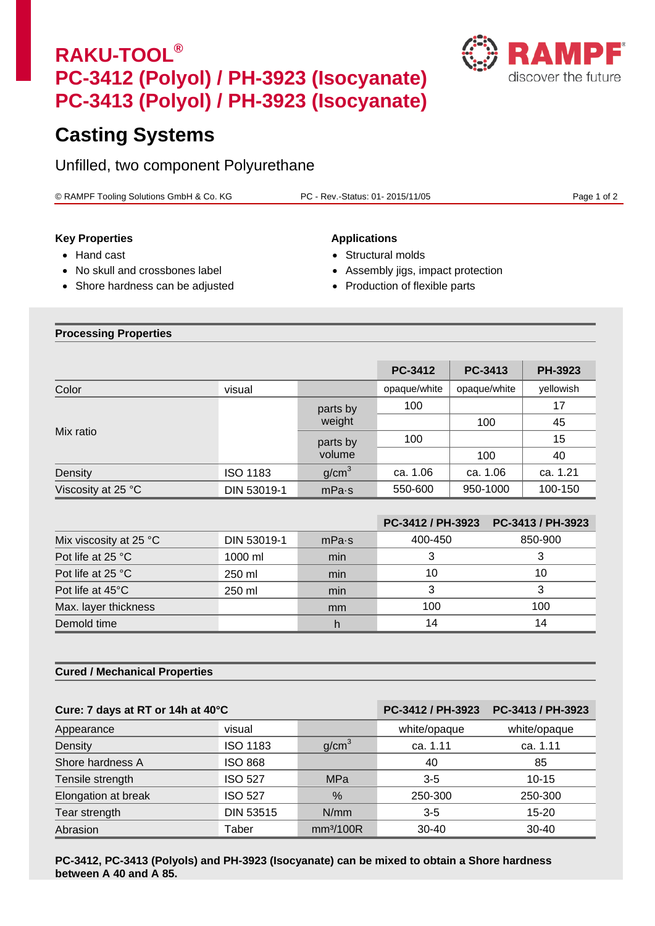# **RAKU-TOOL® PC-3412 (Polyol) / PH-3923 (Isocyanate) PC-3413 (Polyol) / PH-3923 (Isocyanate)**



## **Casting Systems**

Unfilled, two component Polyurethane

© RAMPF Tooling Solutions GmbH & Co. KG PC - Rev.-Status: 01- 2015/11/05 Page 1 of 2

### **Key Properties Applications**

- 
- No skull and crossbones label Assembly jigs, impact protection
- Shore hardness can be adjusted Production of flexible parts

- Hand cast Structural molds
	-
	-

#### **Processing Properties**

|                    |                    |                    | <b>PC-3412</b> | PC-3413      | <b>PH-3923</b> |
|--------------------|--------------------|--------------------|----------------|--------------|----------------|
| Color              | visual             |                    | opaque/white   | opaque/white | yellowish      |
| Mix ratio          |                    | parts by<br>weight | 100            |              | 17             |
|                    | parts by<br>volume |                    |                | 100          | 45             |
|                    |                    | 100                |                | 15           |                |
|                    |                    |                    |                | 100          | 40             |
| Density            | <b>ISO 1183</b>    | g/cm <sup>3</sup>  | ca. 1.06       | ca. 1.06     | ca. 1.21       |
| Viscosity at 25 °C | DIN 53019-1        | mPa·s              | 550-600        | 950-1000     | 100-150        |

|                                  |             |       | PC-3412 / PH-3923 | PC-3413 / PH-3923 |
|----------------------------------|-------------|-------|-------------------|-------------------|
| Mix viscosity at 25 $^{\circ}$ C | DIN 53019-1 | mPa·s | 400-450           | 850-900           |
| Pot life at 25 °C                | 1000 ml     | min   |                   |                   |
| Pot life at 25 °C                | 250 ml      | min   | 10                | 10                |
| Pot life at 45°C                 | 250 ml      | min   |                   |                   |
| Max. layer thickness             |             | mm    | 100               | 100               |
| Demold time                      |             |       | 14                | 14                |

#### **Cured / Mechanical Properties**

### **Cure: 7 days at RT or 14h at 40°C PC-3412 / PH-3923 PC-3413 / PH-3923**

| Cure. <i>I</i> uays at NT OF 1411 at 40 C |                  |                       | FU-34127 FFF3923 | <u>FU-94197 FFF9929</u> |
|-------------------------------------------|------------------|-----------------------|------------------|-------------------------|
| Appearance                                | visual           |                       | white/opaque     | white/opaque            |
| Density                                   | <b>ISO 1183</b>  | q/cm <sup>3</sup>     | ca. 1.11         | ca. 1.11                |
| Shore hardness A                          | <b>ISO 868</b>   |                       | 40               | 85                      |
| Tensile strength                          | <b>ISO 527</b>   | <b>MPa</b>            | $3 - 5$          | $10 - 15$               |
| Elongation at break                       | <b>ISO 527</b>   | $\%$                  | 250-300          | 250-300                 |
| Tear strength                             | <b>DIN 53515</b> | N/mm                  | $3 - 5$          | 15-20                   |
| Abrasion                                  | Taber            | mm <sup>3</sup> /100R | $30 - 40$        | $30 - 40$               |

**PC-3412, PC-3413 (Polyols) and PH-3923 (Isocyanate) can be mixed to obtain a Shore hardness between A 40 and A 85.**